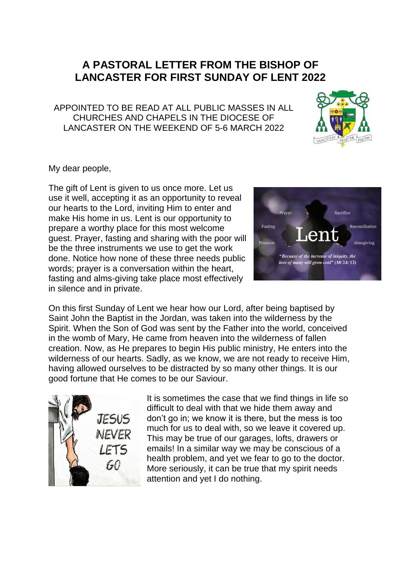## **A PASTORAL LETTER FROM THE BISHOP OF LANCASTER FOR FIRST SUNDAY OF LENT 2022**

APPOINTED TO BE READ AT ALL PUBLIC MASSES IN ALL CHURCHES AND CHAPELS IN THE DIOCESE OF LANCASTER ON THE WEEKEND OF 5-6 MARCH 2022



My dear people,

The gift of Lent is given to us once more. Let us use it well, accepting it as an opportunity to reveal our hearts to the Lord, inviting Him to enter and make His home in us. Lent is our opportunity to prepare a worthy place for this most welcome guest. Prayer, fasting and sharing with the poor will be the three instruments we use to get the work done. Notice how none of these three needs public words; prayer is a conversation within the heart, fasting and alms-giving take place most effectively in silence and in private.



On this first Sunday of Lent we hear how our Lord, after being baptised by Saint John the Baptist in the Jordan, was taken into the wilderness by the Spirit. When the Son of God was sent by the Father into the world, conceived in the womb of Mary, He came from heaven into the wilderness of fallen creation. Now, as He prepares to begin His public ministry, He enters into the wilderness of our hearts. Sadly, as we know, we are not ready to receive Him, having allowed ourselves to be distracted by so many other things. It is our good fortune that He comes to be our Saviour.



It is sometimes the case that we find things in life so difficult to deal with that we hide them away and don't go in; we know it is there, but the mess is too much for us to deal with, so we leave it covered up. This may be true of our garages, lofts, drawers or emails! In a similar way we may be conscious of a health problem, and yet we fear to go to the doctor. More seriously, it can be true that my spirit needs attention and yet I do nothing.